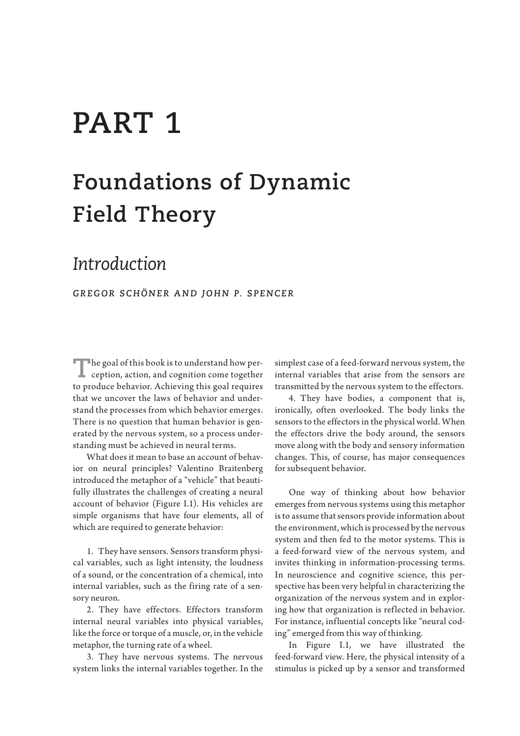## **PART 1**

## **Foundations of Dynamic Field Theory**

## *Introduction*

## *GREGOR SCHÖNER AND JOHN P. SPENCER*

**T**he goal of this book is to understand how perception, action, and cognition come together to produce behavior. Achieving this goal requires that we uncover the laws of behavior and understand the processes from which behavior emerges. There is no question that human behavior is generated by the nervous system, so a process understanding must be achieved in neural terms.

What does it mean to base an account of behavior on neural principles? Valentino Braitenberg introduced the metaphor of a "vehicle" that beautifully illustrates the challenges of creating a neural account of behavior (Figure I.1). His vehicles are simple organisms that have four elements, all of which are required to generate behavior:

1. They have sensors. Sensors transform physical variables, such as light intensity, the loudness of a sound, or the concentration of a chemical, into internal variables, such as the firing rate of a sensory neuron.

2. They have effectors. Effectors transform internal neural variables into physical variables, like the force or torque of a muscle, or, in the vehicle metaphor, the turning rate of a wheel.

3. They have nervous systems. The nervous system links the internal variables together. In the simplest case of a feed-forward nervous system, the internal variables that arise from the sensors are transmitted by the nervous system to the effectors.

4. They have bodies, a component that is, ironically, often overlooked. The body links the sensors to the effectors in the physical world. When the effectors drive the body around, the sensors move along with the body and sensory information changes. This, of course, has major consequences for subsequent behavior.

One way of thinking about how behavior emerges from nervous systems using this metaphor is to assume that sensors provide information about the environment, which is processed by the nervous system and then fed to the motor systems. This is a feed-forward view of the nervous system, and invites thinking in information-processing terms. In neuroscience and cognitive science, this perspective has been very helpful in characterizing the organization of the nervous system and in exploring how that organization is reflected in behavior. For instance, influential concepts like "neural coding" emerged from this way of thinking.

In Figure I.1, we have illustrated the feed-forward view. Here, the physical intensity of a stimulus is picked up by a sensor and transformed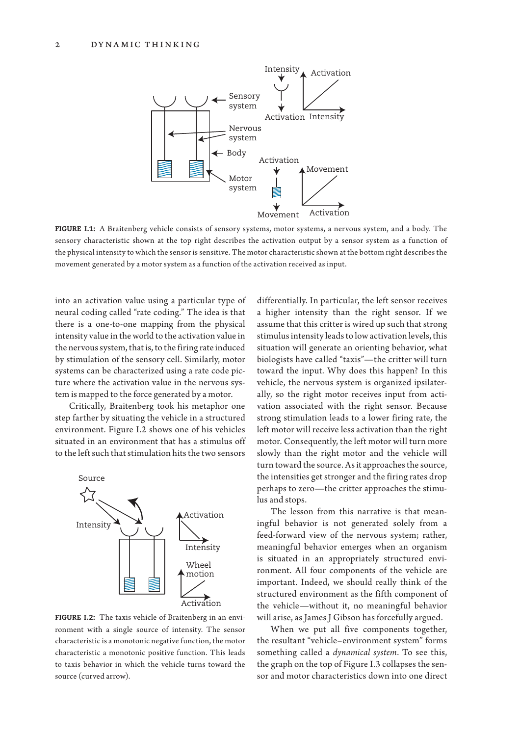

FIGURE I.1: A Braitenberg vehicle consists of sensory systems, motor systems, a nervous system, and a body. The sensory characteristic shown at the top right describes the activation output by a sensor system as a function of the physical intensity to which the sensor is sensitive. The motor characteristic shown at the bottom right describes the movement generated by a motor system as a function of the activation received as input.

into an activation value using a particular type of neural coding called "rate coding." The idea is that there is a one-to-one mapping from the physical intensity value in the world to the activation value in the nervous system, that is, to the firing rate induced by stimulation of the sensory cell. Similarly, motor systems can be characterized using a rate code picture where the activation value in the nervous system is mapped to the force generated by a motor.

Critically, Braitenberg took his metaphor one step farther by situating the vehicle in a structured environment. Figure I.2 shows one of his vehicles situated in an environment that has a stimulus off to the left such that stimulation hits the two sensors



FIGURE I.2: The taxis vehicle of Braitenberg in an environment with a single source of intensity. The sensor characteristic is a monotonic negative function, the motor characteristic a monotonic positive function. This leads to taxis behavior in which the vehicle turns toward the source (curved arrow).

differentially. In particular, the left sensor receives a higher intensity than the right sensor. If we assume that this critter is wired up such that strong stimulus intensity leads to low activation levels, this situation will generate an orienting behavior, what biologists have called "taxis"—the critter will turn toward the input. Why does this happen? In this vehicle, the nervous system is organized ipsilaterally, so the right motor receives input from activation associated with the right sensor. Because strong stimulation leads to a lower firing rate, the left motor will receive less activation than the right motor. Consequently, the left motor will turn more slowly than the right motor and the vehicle will turn toward the source. As it approaches the source, the intensities get stronger and the firing rates drop perhaps to zero—the critter approaches the stimulus and stops.

The lesson from this narrative is that meaningful behavior is not generated solely from a feed-forward view of the nervous system; rather, meaningful behavior emerges when an organism is situated in an appropriately structured environment. All four components of the vehicle are important. Indeed, we should really think of the structured environment as the fifth component of the vehicle—without it, no meaningful behavior will arise, as James J Gibson has forcefully argued.

When we put all five components together, the resultant "vehicle–environment system" forms something called a *dynamical system*. To see this, the graph on the top of Figure I.3 collapses the sensor and motor characteristics down into one direct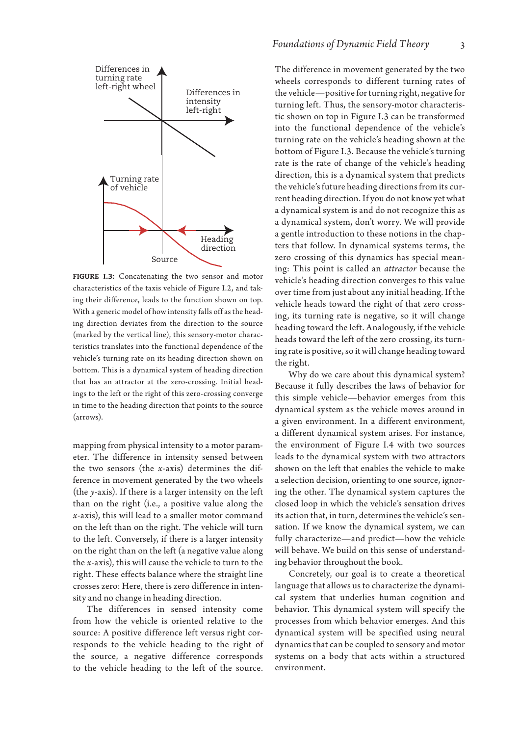

FIGURE I.3: Concatenating the two sensor and motor characteristics of the taxis vehicle of Figure I.2, and taking their difference, leads to the function shown on top. With a generic model of how intensity falls off as the heading direction deviates from the direction to the source (marked by the vertical line), this sensory-motor characteristics translates into the functional dependence of the vehicle's turning rate on its heading direction shown on bottom. This is a dynamical system of heading direction that has an attractor at the zero-crossing. Initial headings to the left or the right of this zero-crossing converge in time to the heading direction that points to the source (arrows).

mapping from physical intensity to a motor parameter. The difference in intensity sensed between the two sensors (the *x*-axis) determines the difference in movement generated by the two wheels (the *y*-axis). If there is a larger intensity on the left than on the right (i.e., a positive value along the *x*-axis), this will lead to a smaller motor command on the left than on the right. The vehicle will turn to the left. Conversely, if there is a larger intensity on the right than on the left (a negative value along the *x*-axis), this will cause the vehicle to turn to the right. These effects balance where the straight line crosses zero: Here, there is zero difference in intensity and no change in heading direction.

The differences in sensed intensity come from how the vehicle is oriented relative to the source: A positive difference left versus right corresponds to the vehicle heading to the right of the source, a negative difference corresponds to the vehicle heading to the left of the source. The difference in movement generated by the two wheels corresponds to different turning rates of the vehicle—positive for turning right, negative for turning left. Thus, the sensory-motor characteristic shown on top in Figure I.3 can be transformed into the functional dependence of the vehicle's turning rate on the vehicle's heading shown at the bottom of Figure I.3. Because the vehicle's turning rate is the rate of change of the vehicle's heading direction, this is a dynamical system that predicts the vehicle's future heading directions from its current heading direction. If you do not know yet what a dynamical system is and do not recognize this as a dynamical system, don't worry. We will provide a gentle introduction to these notions in the chapters that follow. In dynamical systems terms, the zero crossing of this dynamics has special meaning: This point is called an *attractor* because the vehicle's heading direction converges to this value over time from just about any initial heading. If the vehicle heads toward the right of that zero crossing, its turning rate is negative, so it will change heading toward the left. Analogously, if the vehicle heads toward the left of the zero crossing, its turning rate is positive, so it will change heading toward the right.

Why do we care about this dynamical system? Because it fully describes the laws of behavior for this simple vehicle—behavior emerges from this dynamical system as the vehicle moves around in a given environment. In a different environment, a different dynamical system arises. For instance, the environment of Figure I.4 with two sources leads to the dynamical system with two attractors shown on the left that enables the vehicle to make a selection decision, orienting to one source, ignoring the other. The dynamical system captures the closed loop in which the vehicle's sensation drives its action that, in turn, determines the vehicle's sensation. If we know the dynamical system, we can fully characterize—and predict—how the vehicle will behave. We build on this sense of understanding behavior throughout the book.

Concretely, our goal is to create a theoretical language that allows us to characterize the dynamical system that underlies human cognition and behavior. This dynamical system will specify the processes from which behavior emerges. And this dynamical system will be specified using neural dynamics that can be coupled to sensory and motor systems on a body that acts within a structured environment.